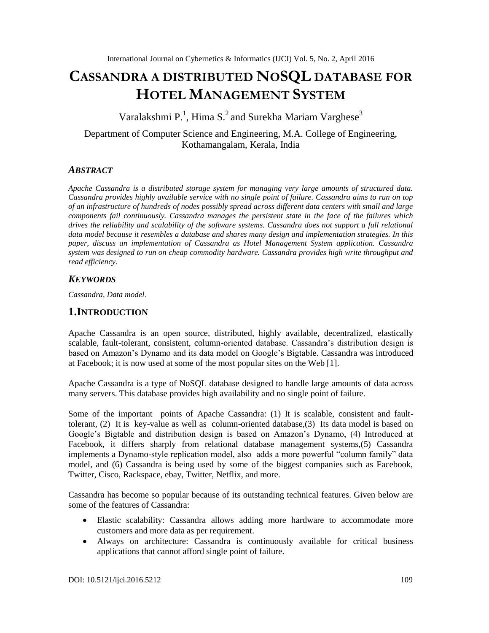# **CASSANDRA A DISTRIBUTED NOSQL DATABASE FOR HOTEL MANAGEMENT SYSTEM**

Varalakshmi P.<sup>1</sup>, Hima S.<sup>2</sup> and Surekha Mariam Varghese<sup>3</sup>

Department of Computer Science and Engineering, M.A. College of Engineering, Kothamangalam, Kerala, India

### *ABSTRACT*

*Apache Cassandra is a distributed storage system for managing very large amounts of structured data. Cassandra provides highly available service with no single point of failure. Cassandra aims to run on top of an infrastructure of hundreds of nodes possibly spread across different data centers with small and large components fail continuously. Cassandra manages the persistent state in the face of the failures which drives the reliability and scalability of the software systems. Cassandra does not support a full relational data model because it resembles a database and shares many design and implementation strategies. In this paper, discuss an implementation of Cassandra as Hotel Management System application. Cassandra system was designed to run on cheap commodity hardware. Cassandra provides high write throughput and read efficiency.*

### *KEYWORDS*

*Cassandra, Data model*.

### **1.INTRODUCTION**

Apache Cassandra is an open source, distributed, highly available, decentralized, elastically scalable, fault-tolerant, consistent, column-oriented database. Cassandra's distribution design is based on Amazon's Dynamo and its data model on Google's Bigtable. Cassandra was introduced at Facebook; it is now used at some of the most popular sites on the Web [1].

Apache Cassandra is a type of NoSQL database designed to handle large amounts of data across many servers. This database provides high availability and no single point of failure.

Some of the important points of Apache Cassandra: (1) It is scalable, consistent and faulttolerant, (2) It is key-value as well as column-oriented database,(3) Its data model is based on Google's Bigtable and distribution design is based on Amazon's Dynamo, (4) Introduced at Facebook, it differs sharply from relational database management systems,(5) Cassandra implements a Dynamo-style replication model, also adds a more powerful "column family" data model, and (6) Cassandra is being used by some of the biggest companies such as Facebook, Twitter, Cisco, Rackspace, ebay, Twitter, Netflix, and more.

Cassandra has become so popular because of its outstanding technical features. Given below are some of the features of Cassandra:

- Elastic scalability: Cassandra allows adding more hardware to accommodate more customers and more data as per requirement.
- Always on architecture: Cassandra is continuously available for critical business applications that cannot afford single point of failure.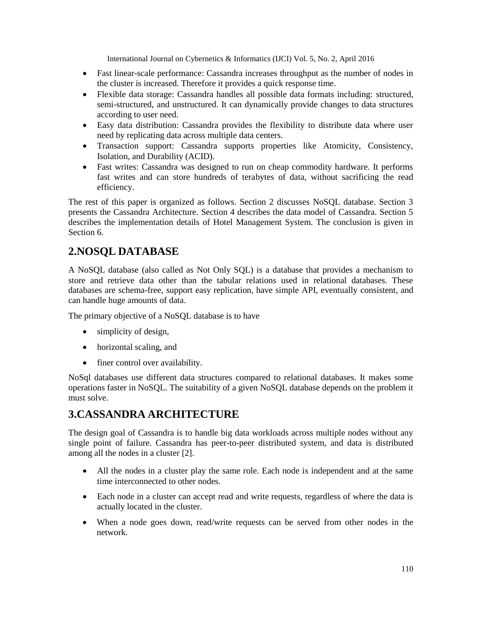- Fast linear-scale performance: Cassandra increases throughput as the number of nodes in the cluster is increased. Therefore it provides a quick response time.
- Flexible data storage: Cassandra handles all possible data formats including: structured, semi-structured, and unstructured. It can dynamically provide changes to data structures according to user need.
- Easy data distribution: Cassandra provides the flexibility to distribute data where user need by replicating data across multiple data centers.
- Transaction support: Cassandra supports properties like Atomicity, Consistency, Isolation, and Durability (ACID).
- Fast writes: Cassandra was designed to run on cheap commodity hardware. It performs fast writes and can store hundreds of terabytes of data, without sacrificing the read efficiency.

The rest of this paper is organized as follows. Section 2 discusses NoSQL database. Section 3 presents the Cassandra Architecture. Section 4 describes the data model of Cassandra. Section 5 describes the implementation details of Hotel Management System. The conclusion is given in Section 6.

# **2.NOSQL DATABASE**

A NoSQL database (also called as Not Only SQL) is a database that provides a mechanism to store and retrieve data other than the tabular relations used in relational databases. These databases are schema-free, support easy replication, have simple API, eventually consistent, and can handle huge amounts of data.

The primary objective of a NoSQL database is to have

- simplicity of design,
- horizontal scaling, and
- finer control over availability.

NoSql databases use different data structures compared to relational databases. It makes some operations faster in NoSQL. The suitability of a given NoSQL database depends on the problem it must solve.

# **3.CASSANDRA ARCHITECTURE**

The design goal of Cassandra is to handle big data workloads across multiple nodes without any single point of failure. Cassandra has peer-to-peer distributed system, and data is distributed among all the nodes in a cluster [2].

- All the nodes in a cluster play the same role. Each node is independent and at the same time interconnected to other nodes.
- Each node in a cluster can accept read and write requests, regardless of where the data is actually located in the cluster.
- When a node goes down, read/write requests can be served from other nodes in the network.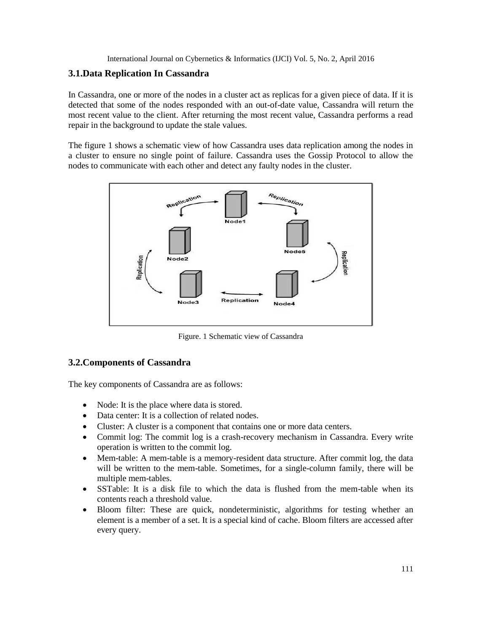### **3.1.Data Replication In Cassandra**

In Cassandra, one or more of the nodes in a cluster act as replicas for a given piece of data. If it is detected that some of the nodes responded with an out-of-date value, Cassandra will return the most recent value to the client. After returning the most recent value, Cassandra performs a read repair in the background to update the stale values.

The figure 1 shows a schematic view of how Cassandra uses data replication among the nodes in a cluster to ensure no single point of failure. Cassandra uses the Gossip Protocol to allow the nodes to communicate with each other and detect any faulty nodes in the cluster.



Figure. 1 Schematic view of Cassandra

### **3.2.Components of Cassandra**

The key components of Cassandra are as follows:

- Node: It is the place where data is stored.
- Data center: It is a collection of related nodes.
- Cluster: A cluster is a component that contains one or more data centers.
- Commit log: The commit log is a crash-recovery mechanism in Cassandra. Every write operation is written to the commit log.
- Mem-table: A mem-table is a memory-resident data structure. After commit log, the data will be written to the mem-table. Sometimes, for a single-column family, there will be multiple mem-tables.
- SSTable: It is a disk file to which the data is flushed from the mem-table when its contents reach a threshold value.
- Bloom filter: These are quick, nondeterministic, algorithms for testing whether an element is a member of a set. It is a special kind of cache. Bloom filters are accessed after every query.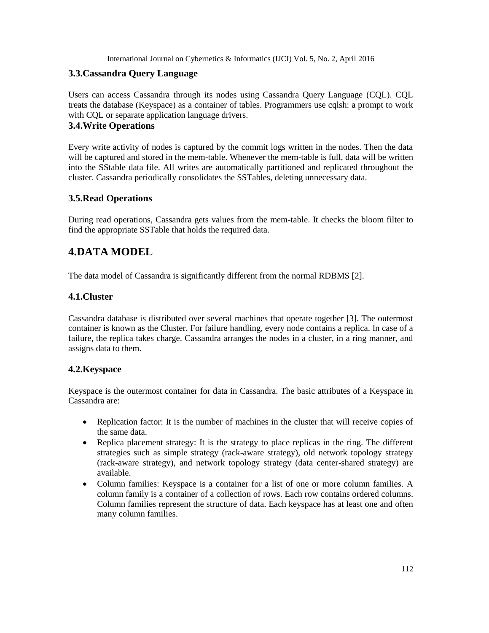### **3.3.Cassandra Query Language**

Users can access Cassandra through its nodes using Cassandra Query Language (CQL). CQL treats the database (Keyspace) as a container of tables. Programmers use cqlsh: a prompt to work with CQL or separate application language drivers.

### **3.4.Write Operations**

Every write activity of nodes is captured by the commit logs written in the nodes. Then the data will be captured and stored in the mem-table. Whenever the mem-table is full, data will be written into the SStable data file. All writes are automatically partitioned and replicated throughout the cluster. Cassandra periodically consolidates the SSTables, deleting unnecessary data.

### **3.5.Read Operations**

During read operations, Cassandra gets values from the mem-table. It checks the bloom filter to find the appropriate SSTable that holds the required data.

### **4.DATA MODEL**

The data model of Cassandra is significantly different from the normal RDBMS [2].

### **4.1.Cluster**

Cassandra database is distributed over several machines that operate together [3]. The outermost container is known as the Cluster. For failure handling, every node contains a replica. In case of a failure, the replica takes charge. Cassandra arranges the nodes in a cluster, in a ring manner, and assigns data to them.

### **4.2.Keyspace**

Keyspace is the outermost container for data in Cassandra. The basic attributes of a Keyspace in Cassandra are:

- Replication factor: It is the number of machines in the cluster that will receive copies of the same data.
- Replica placement strategy: It is the strategy to place replicas in the ring. The different strategies such as simple strategy (rack-aware strategy), old network topology strategy (rack-aware strategy), and network topology strategy (data center-shared strategy) are available.
- Column families: Keyspace is a container for a list of one or more column families. A column family is a container of a collection of rows. Each row contains ordered columns. Column families represent the structure of data. Each keyspace has at least one and often many column families.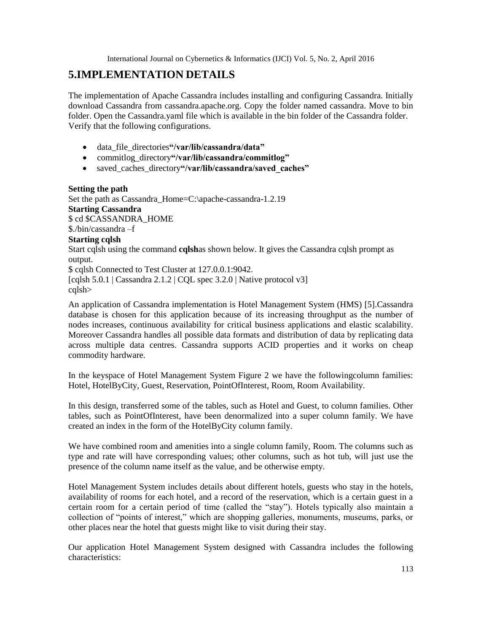### **5.IMPLEMENTATION DETAILS**

The implementation of Apache Cassandra includes installing and configuring Cassandra. Initially download Cassandra from cassandra.apache.org. Copy the folder named cassandra. Move to bin folder. Open the Cassandra.yaml file which is available in the bin folder of the Cassandra folder. Verify that the following configurations.

- data\_file\_directories**"/var/lib/cassandra/data"**
- commitlog\_directory**"/var/lib/cassandra/commitlog"**
- saved\_caches\_directory**"/var/lib/cassandra/saved\_caches"**

#### **Setting the path**

Set the path as Cassandra\_Home=C:\apache-cassandra-1.2.19 **Starting Cassandra** \$ cd \$CASSANDRA\_HOME \$./bin/cassandra –f **Starting cqlsh**

Start cqlsh using the command **cqlsh**as shown below. It gives the Cassandra cqlsh prompt as output.

\$ cqlsh Connected to Test Cluster at 127.0.0.1:9042. [cqlsh 5.0.1 | Cassandra 2.1.2 | CQL spec  $3.2.0$  | Native protocol v3] cqlsh>

An application of Cassandra implementation is Hotel Management System (HMS) [5].Cassandra database is chosen for this application because of its increasing throughput as the number of nodes increases, continuous availability for critical business applications and elastic scalability. Moreover Cassandra handles all possible data formats and distribution of data by replicating data across multiple data centres. Cassandra supports ACID properties and it works on cheap commodity hardware.

In the keyspace of Hotel Management System Figure 2 we have the followingcolumn families: Hotel, HotelByCity, Guest, Reservation, PointOfInterest, Room, Room Availability.

In this design, transferred some of the tables, such as Hotel and Guest, to column families. Other tables, such as PointOfInterest, have been denormalized into a super column family. We have created an index in the form of the HotelByCity column family.

We have combined room and amenities into a single column family, Room. The columns such as type and rate will have corresponding values; other columns, such as hot tub, will just use the presence of the column name itself as the value, and be otherwise empty.

Hotel Management System includes details about different hotels, guests who stay in the hotels, availability of rooms for each hotel, and a record of the reservation, which is a certain guest in a certain room for a certain period of time (called the "stay"). Hotels typically also maintain a collection of "points of interest," which are shopping galleries, monuments, museums, parks, or other places near the hotel that guests might like to visit during their stay.

Our application Hotel Management System designed with Cassandra includes the following characteristics: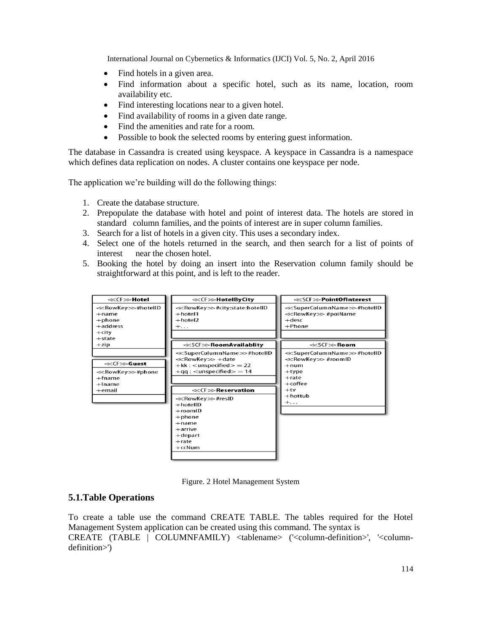- Find hotels in a given area.
- Find information about a specific hotel, such as its name, location, room availability etc.
- Find interesting locations near to a given hotel.
- Find availability of rooms in a given date range.
- Find the amenities and rate for a room.
- Possible to book the selected rooms by entering guest information.

The database in Cassandra is created using keyspace. A keyspace in Cassandra is a namespace which defines data replication on nodes. A cluster contains one keyspace per node.

The application we're building will do the following things:

- 1. Create the database structure.
- 2. Prepopulate the database with hotel and point of interest data. The hotels are stored in standard column families, and the points of interest are in super column families.
- 3. Search for a list of hotels in a given city. This uses a secondary index.
- 4. Select one of the hotels returned in the search, and then search for a list of points of interest near the chosen hotel.
- 5. Booking the hotel by doing an insert into the Reservation column family should be straightforward at this point, and is left to the reader.



Figure. 2 Hotel Management System

#### **5.1.Table Operations**

To create a table use the command CREATE TABLE. The tables required for the Hotel Management System application can be created using this command. The syntax is CREATE (TABLE | COLUMNFAMILY) <tablename> ('<column-definition>', '<columndefinition>')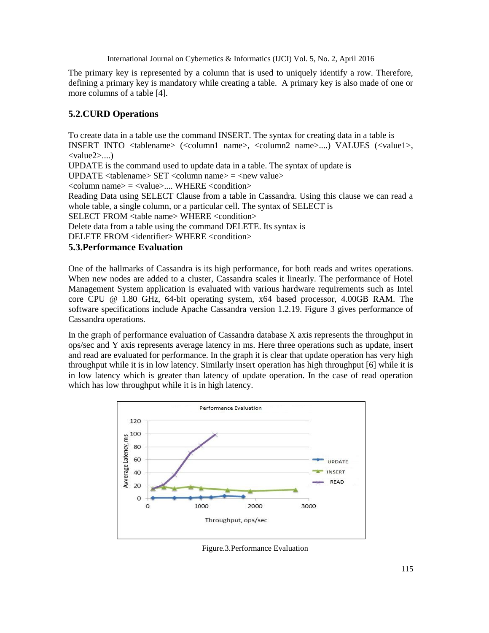The primary key is represented by a column that is used to uniquely identify a row. Therefore, defining a primary key is mandatory while creating a table. A primary key is also made of one or more columns of a table [4].

### **5.2.CURD Operations**

To create data in a table use the command INSERT. The syntax for creating data in a table is INSERT INTO <tablename> (<column1 name>, <column2 name>....) VALUES (<value1>, <value2>....) UPDATE is the command used to update data in a table. The syntax of update is UPDATE  $lt$ tablename $gt$  SET  $lt$ column name $gt$  =  $lt$ new value $gt$  $\langle \text{column name} \rangle = \langle \text{value} \rangle$ .... WHERE  $\langle \text{condition} \rangle$ Reading Data using SELECT Clause from a table in Cassandra. Using this clause we can read a whole table, a single column, or a particular cell. The syntax of SELECT is SELECT FROM <table name> WHERE <condition> Delete data from a table using the command DELETE. Its syntax is DELETE FROM <identifier> WHERE <condition> **5.3.Performance Evaluation**

One of the hallmarks of Cassandra is its high performance, for both reads and writes operations. When new nodes are added to a cluster, Cassandra scales it linearly. The performance of Hotel Management System application is evaluated with various hardware requirements such as Intel core CPU @ 1.80 GHz, 64-bit operating system, x64 based processor, 4.00GB RAM. The software specifications include Apache Cassandra version 1.2.19. Figure 3 gives performance of Cassandra operations.

In the graph of performance evaluation of Cassandra database X axis represents the throughput in ops/sec and Y axis represents average latency in ms. Here three operations such as update, insert and read are evaluated for performance. In the graph it is clear that update operation has very high throughput while it is in low latency. Similarly insert operation has high throughput [6] while it is in low latency which is greater than latency of update operation. In the case of read operation which has low throughput while it is in high latency.



Figure.3.Performance Evaluation